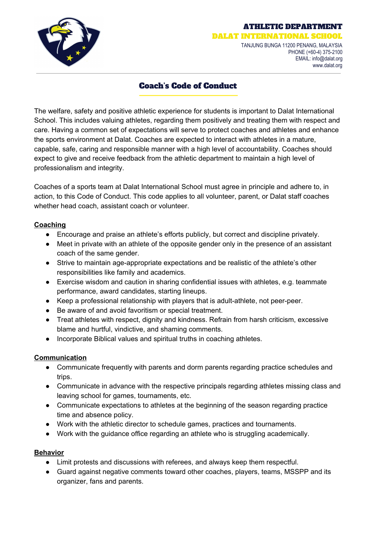

### ATHLETIC DEPARTMENT

DALAT INTERNATIONAL SCHOO TANJUNG BUNGA 11200 PENANG, MALAYSIA PHONE (+60-4) 375-2100 EMAIL: info@dalat.org

www.dalat.org

# Coach's Code of Conduct

The welfare, safety and positive athletic experience for students is important to Dalat International School. This includes valuing athletes, regarding them positively and treating them with respect and care. Having a common set of expectations will serve to protect coaches and athletes and enhance the sports environment at Dalat. Coaches are expected to interact with athletes in a mature, capable, safe, caring and responsible manner with a high level of accountability. Coaches should expect to give and receive feedback from the athletic department to maintain a high level of professionalism and integrity.

Coaches of a sports team at Dalat International School must agree in principle and adhere to, in action, to this Code of Conduct. This code applies to all volunteer, parent, or Dalat staff coaches whether head coach, assistant coach or volunteer.

## **Coaching**

- Encourage and praise an athlete's efforts publicly, but correct and discipline privately.
- Meet in private with an athlete of the opposite gender only in the presence of an assistant coach of the same gender.
- Strive to maintain age-appropriate expectations and be realistic of the athlete's other responsibilities like family and academics.
- Exercise wisdom and caution in sharing confidential issues with athletes, e.g. teammate performance, award candidates, starting lineups.
- Keep a professional relationship with players that is adult-athlete, not peer-peer.
- Be aware of and avoid favoritism or special treatment.
- Treat athletes with respect, dignity and kindness. Refrain from harsh criticism, excessive blame and hurtful, vindictive, and shaming comments.
- Incorporate Biblical values and spiritual truths in coaching athletes.

## **Communication**

- Communicate frequently with parents and dorm parents regarding practice schedules and trips.
- Communicate in advance with the respective principals regarding athletes missing class and leaving school for games, tournaments, etc.
- Communicate expectations to athletes at the beginning of the season regarding practice time and absence policy.
- Work with the athletic director to schedule games, practices and tournaments.
- Work with the guidance office regarding an athlete who is struggling academically.

## **Behavior**

- Limit protests and discussions with referees, and always keep them respectful.
- Guard against negative comments toward other coaches, players, teams, MSSPP and its organizer, fans and parents.